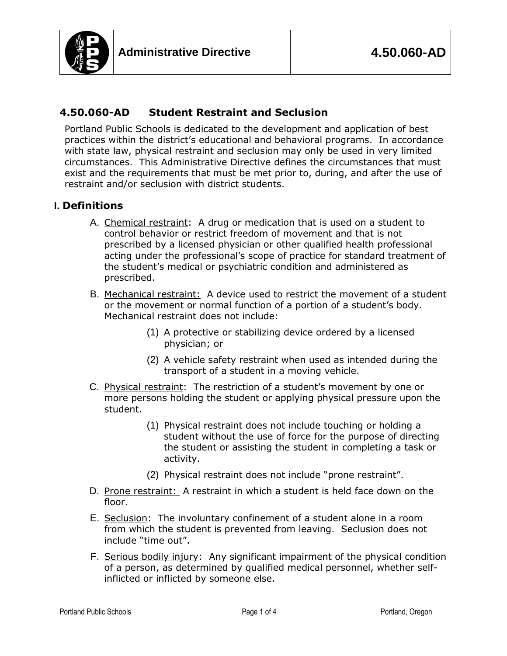

## **4.50.060-AD Student Restraint and Seclusion**

Portland Public Schools is dedicated to the development and application of best practices within the district's educational and behavioral programs. In accordance with state law, physical restraint and seclusion may only be used in very limited circumstances. This Administrative Directive defines the circumstances that must exist and the requirements that must be met prior to, during, and after the use of restraint and/or seclusion with district students.

### **I. Definitions**

- A. Chemical restraint: A drug or medication that is used on a student to control behavior or restrict freedom of movement and that is not prescribed by a licensed physician or other qualified health professional acting under the professional's scope of practice for standard treatment of the student's medical or psychiatric condition and administered as prescribed.
- B. Mechanical restraint: A device used to restrict the movement of a student or the movement or normal function of a portion of a student's body. Mechanical restraint does not include:
	- (1) A protective or stabilizing device ordered by a licensed physician; or
	- (2) A vehicle safety restraint when used as intended during the transport of a student in a moving vehicle.
- C. Physical restraint: The restriction of a student's movement by one or more persons holding the student or applying physical pressure upon the student.
	- (1) Physical restraint does not include touching or holding a student without the use of force for the purpose of directing the student or assisting the student in completing a task or activity.
	- (2) Physical restraint does not include "prone restraint".
- D. Prone restraint: A restraint in which a student is held face down on the floor.
- E. Seclusion: The involuntary confinement of a student alone in a room from which the student is prevented from leaving. Seclusion does not include "time out".
- F. Serious bodily injury: Any significant impairment of the physical condition of a person, as determined by qualified medical personnel, whether selfinflicted or inflicted by someone else.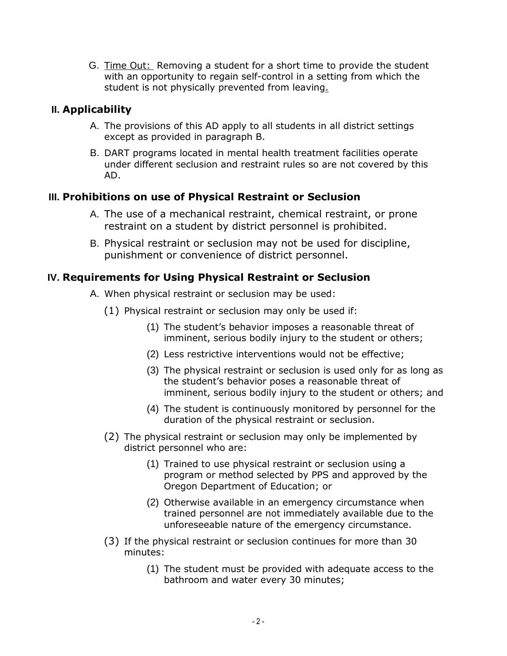G. Time Out: Removing a student for a short time to provide the student with an opportunity to regain self-control in a setting from which the student is not physically prevented from leaving.

## **II. Applicability**

- A. The provisions of this AD apply to all students in all district settings except as provided in paragraph B.
- B. DART programs located in mental health treatment facilities operate under different seclusion and restraint rules so are not covered by this AD.

# **III. Prohibitions on use of Physical Restraint or Seclusion**

- A. The use of a mechanical restraint, chemical restraint, or prone restraint on a student by district personnel is prohibited.
- B. Physical restraint or seclusion may not be used for discipline, punishment or convenience of district personnel.

## **IV. Requirements for Using Physical Restraint or Seclusion**

- A. When physical restraint or seclusion may be used:
	- (1) Physical restraint or seclusion may only be used if:
		- (1) The student's behavior imposes a reasonable threat of imminent, serious bodily injury to the student or others;
		- (2) Less restrictive interventions would not be effective;
		- (3) The physical restraint or seclusion is used only for as long as the student's behavior poses a reasonable threat of imminent, serious bodily injury to the student or others; and
		- (4) The student is continuously monitored by personnel for the duration of the physical restraint or seclusion.
	- (2) The physical restraint or seclusion may only be implemented by district personnel who are:
		- (1) Trained to use physical restraint or seclusion using a program or method selected by PPS and approved by the Oregon Department of Education; or
		- (2) Otherwise available in an emergency circumstance when trained personnel are not immediately available due to the unforeseeable nature of the emergency circumstance.
	- (3) If the physical restraint or seclusion continues for more than 30 minutes:
		- (1) The student must be provided with adequate access to the bathroom and water every 30 minutes;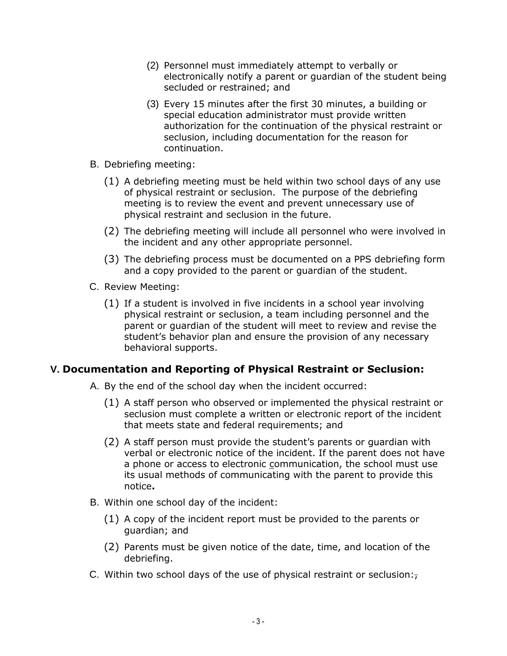- (2) Personnel must immediately attempt to verbally or electronically notify a parent or guardian of the student being secluded or restrained; and
- (3) Every 15 minutes after the first 30 minutes, a building or special education administrator must provide written authorization for the continuation of the physical restraint or seclusion, including documentation for the reason for continuation.
- B. Debriefing meeting:
	- (1) A debriefing meeting must be held within two school days of any use of physical restraint or seclusion. The purpose of the debriefing meeting is to review the event and prevent unnecessary use of physical restraint and seclusion in the future.
	- (2) The debriefing meeting will include all personnel who were involved in the incident and any other appropriate personnel.
	- (3) The debriefing process must be documented on a PPS debriefing form and a copy provided to the parent or guardian of the student.
- C. Review Meeting:
	- (1) If a student is involved in five incidents in a school year involving physical restraint or seclusion, a team including personnel and the parent or guardian of the student will meet to review and revise the student's behavior plan and ensure the provision of any necessary behavioral supports.

### **V. Documentation and Reporting of Physical Restraint or Seclusion:**

- A. By the end of the school day when the incident occurred:
	- (1) A staff person who observed or implemented the physical restraint or seclusion must complete a written or electronic report of the incident that meets state and federal requirements; and
	- (2) A staff person must provide the student's parents or guardian with verbal or electronic notice of the incident. If the parent does not have a phone or access to electronic communication, the school must use its usual methods of communicating with the parent to provide this notice**.**
- B. Within one school day of the incident:
	- (1) A copy of the incident report must be provided to the parents or guardian; and
	- (2) Parents must be given notice of the date, time, and location of the debriefing.
- C. Within two school days of the use of physical restraint or seclusion: